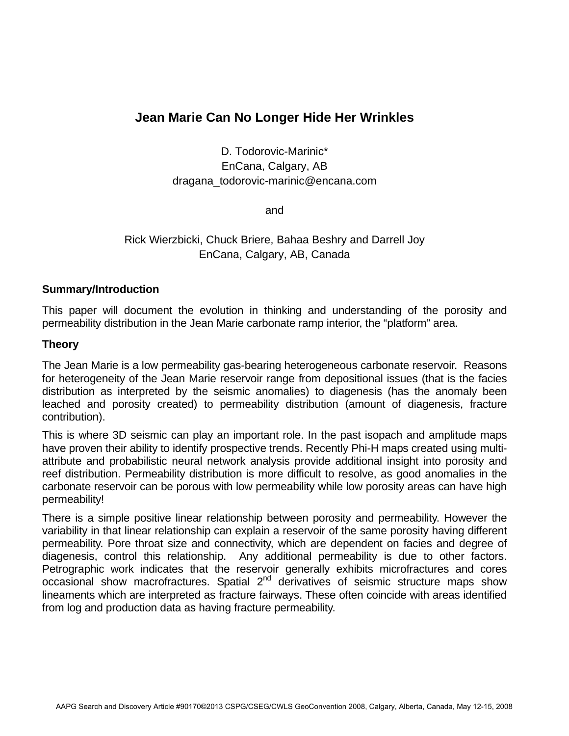# **Jean Marie Can No Longer Hide Her Wrinkles**

D. Todorovic-Marinic\* EnCana, Calgary, AB dragana\_todorovic-marinic@encana.com

and

## Rick Wierzbicki, Chuck Briere, Bahaa Beshry and Darrell Joy EnCana, Calgary, AB, Canada

#### **Summary/Introduction**

This paper will document the evolution in thinking and understanding of the porosity and permeability distribution in the Jean Marie carbonate ramp interior, the "platform" area.

#### **Theory**

The Jean Marie is a low permeability gas-bearing heterogeneous carbonate reservoir. Reasons for heterogeneity of the Jean Marie reservoir range from depositional issues (that is the facies distribution as interpreted by the seismic anomalies) to diagenesis (has the anomaly been leached and porosity created) to permeability distribution (amount of diagenesis, fracture contribution).

This is where 3D seismic can play an important role. In the past isopach and amplitude maps have proven their ability to identify prospective trends. Recently Phi-H maps created using multiattribute and probabilistic neural network analysis provide additional insight into porosity and reef distribution. Permeability distribution is more difficult to resolve, as good anomalies in the carbonate reservoir can be porous with low permeability while low porosity areas can have high permeability!

There is a simple positive linear relationship between porosity and permeability. However the variability in that linear relationship can explain a reservoir of the same porosity having different permeability. Pore throat size and connectivity, which are dependent on facies and degree of diagenesis, control this relationship. Any additional permeability is due to other factors. Petrographic work indicates that the reservoir generally exhibits microfractures and cores occasional show macrofractures. Spatial  $2<sup>nd</sup>$  derivatives of seismic structure maps show lineaments which are interpreted as fracture fairways. These often coincide with areas identified from log and production data as having fracture permeability.